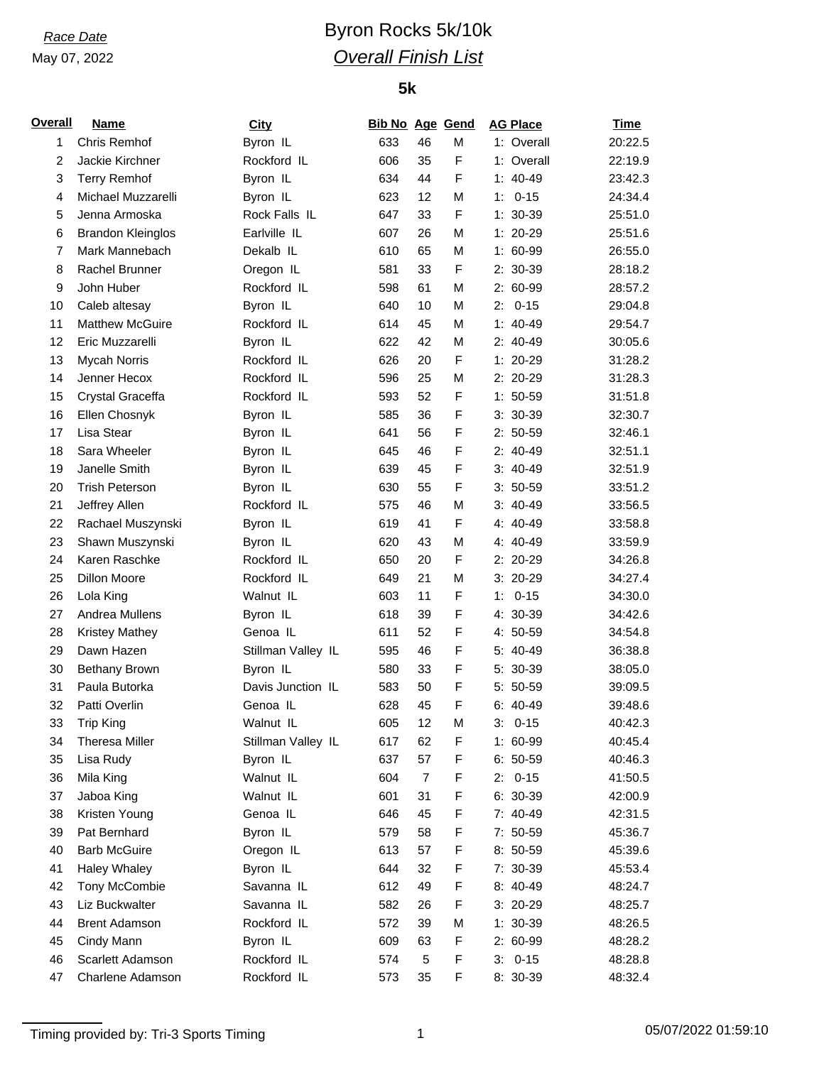### May 07, 2022

## *Race Date* **Byron Rocks** 5k/10k *Overall Finish List*

### **5k**

| Overall        | <b>Name</b>              | <b>City</b>          | <b>Bib No Age Gend</b> |                |   |    | <b>AG Place</b> | <b>Time</b> |
|----------------|--------------------------|----------------------|------------------------|----------------|---|----|-----------------|-------------|
| 1              | Chris Remhof             | Byron IL             | 633                    | 46             | M |    | 1: Overall      | 20:22.5     |
| $\overline{c}$ | Jackie Kirchner          | Rockford IL          | 606                    | 35             | F |    | 1: Overall      | 22:19.9     |
| 3              | <b>Terry Remhof</b>      | Byron IL             | 634                    | 44             | F |    | $1: 40-49$      | 23:42.3     |
| 4              | Michael Muzzarelli       | Byron IL             | 623                    | 12             | M | 1: | $0 - 15$        | 24:34.4     |
| 5              | Jenna Armoska            | Rock Falls IL        | 647                    | 33             | F |    | $1: 30-39$      | 25:51.0     |
| 6              | <b>Brandon Kleinglos</b> | Earlville IL         | 607                    | 26             | M |    | 1: 20-29        | 25:51.6     |
| $\overline{7}$ | Mark Mannebach           | Dekalb <sub>IL</sub> | 610                    | 65             | M |    | $1: 60-99$      | 26:55.0     |
| 8              | Rachel Brunner           | Oregon IL            | 581                    | 33             | F |    | 2: 30-39        | 28:18.2     |
| 9              | John Huber               | Rockford IL          | 598                    | 61             | M |    | $2:60-99$       | 28:57.2     |
| 10             | Caleb altesay            | Byron IL             | 640                    | 10             | M | 2: | $0 - 15$        | 29:04.8     |
| 11             | <b>Matthew McGuire</b>   | Rockford IL          | 614                    | 45             | M |    | $1: 40-49$      | 29:54.7     |
| 12             | Eric Muzzarelli          | Byron IL             | 622                    | 42             | M |    | 2: 40-49        | 30:05.6     |
| 13             | <b>Mycah Norris</b>      | Rockford IL          | 626                    | 20             | F |    | 1: 20-29        | 31:28.2     |
| 14             | Jenner Hecox             | Rockford IL          | 596                    | 25             | M |    | 2: 20-29        | 31:28.3     |
| 15             | Crystal Graceffa         | Rockford IL          | 593                    | 52             | F |    | $1: 50-59$      | 31:51.8     |
| 16             | Ellen Chosnyk            | Byron IL             | 585                    | 36             | F |    | $3:30-39$       | 32:30.7     |
| 17             | Lisa Stear               | Byron IL             | 641                    | 56             | F |    | $2: 50-59$      | 32:46.1     |
| 18             | Sara Wheeler             | Byron IL             | 645                    | 46             | F |    | $2: 40-49$      | 32:51.1     |
| 19             | Janelle Smith            | Byron IL             | 639                    | 45             | F |    | $3: 40-49$      | 32:51.9     |
| 20             | <b>Trish Peterson</b>    | Byron IL             | 630                    | 55             | F |    | $3:50-59$       | 33:51.2     |
| 21             | Jeffrey Allen            | Rockford IL          | 575                    | 46             | M |    | $3:40-49$       | 33:56.5     |
| 22             | Rachael Muszynski        | Byron IL             | 619                    | 41             | F |    | 4: 40-49        | 33:58.8     |
| 23             | Shawn Muszynski          | Byron IL             | 620                    | 43             | M |    | 4: 40-49        | 33:59.9     |
| 24             | Karen Raschke            | Rockford IL          | 650                    | 20             | F |    | 2: 20-29        | 34:26.8     |
| 25             | Dillon Moore             | Rockford IL          | 649                    | 21             | M |    | $3:20-29$       | 34:27.4     |
|                |                          |                      |                        | 11             | F |    |                 |             |
| 26             | Lola King                | Walnut IL            | 603                    |                | F | 1: | $0 - 15$        | 34:30.0     |
| 27             | Andrea Mullens           | Byron IL             | 618                    | 39             |   |    | 4: 30-39        | 34:42.6     |
| 28             | <b>Kristey Mathey</b>    | Genoa IL             | 611                    | 52             | F |    | 4: 50-59        | 34:54.8     |
| 29             | Dawn Hazen               | Stillman Valley IL   | 595                    | 46             | F |    | 5: 40-49        | 36:38.8     |
| 30             | <b>Bethany Brown</b>     | Byron IL             | 580                    | 33             | F |    | 5: 30-39        | 38:05.0     |
| 31             | Paula Butorka            | Davis Junction IL    | 583                    | 50             | F |    | $5:50-59$       | 39:09.5     |
| 32             | Patti Overlin            | Genoa IL             | 628                    | 45             | F |    | 6: 40-49        | 39:48.6     |
| 33             | Trip King                | Walnut IL            | 605                    | 12             | М |    | $3: 0-15$       | 40:42.3     |
| 34             | <b>Theresa Miller</b>    | Stillman Valley IL   | 617                    | 62             | F |    | 1: 60-99        | 40:45.4     |
| 35             | Lisa Rudy                | Byron IL             | 637                    | 57             | F |    | $6: 50-59$      | 40:46.3     |
| 36             | Mila King                | Walnut IL            | 604                    | $\overline{7}$ | F |    | $2: 0-15$       | 41:50.5     |
| 37             | Jaboa King               | Walnut IL            | 601                    | 31             | F |    | 6: 30-39        | 42:00.9     |
| 38             | Kristen Young            | Genoa IL             | 646                    | 45             | F |    | 7: 40-49        | 42:31.5     |
| 39             | Pat Bernhard             | Byron IL             | 579                    | 58             | F |    | 7: 50-59        | 45:36.7     |
| 40             | <b>Barb McGuire</b>      | Oregon IL            | 613                    | 57             | F |    | 8: 50-59        | 45:39.6     |
| 41             | <b>Haley Whaley</b>      | Byron IL             | 644                    | 32             | F |    | 7: 30-39        | 45:53.4     |
| 42             | Tony McCombie            | Savanna IL           | 612                    | 49             | F |    | 8: 40-49        | 48:24.7     |
| 43             | Liz Buckwalter           | Savanna IL           | 582                    | 26             | F |    | $3:20-29$       | 48:25.7     |
| 44             | <b>Brent Adamson</b>     | Rockford IL          | 572                    | 39             | М |    | $1: 30-39$      | 48:26.5     |
| 45             | Cindy Mann               | Byron IL             | 609                    | 63             | F |    | 2: 60-99        | 48:28.2     |
| 46             | Scarlett Adamson         | Rockford IL          | 574                    | 5              | F |    | $3: 0-15$       | 48:28.8     |
| 47             | Charlene Adamson         | Rockford IL          | 573                    | 35             | F |    | 8: 30-39        | 48:32.4     |

Timing provided by: Tri-3 Sports Timing 1 05/07/2022 01:59:10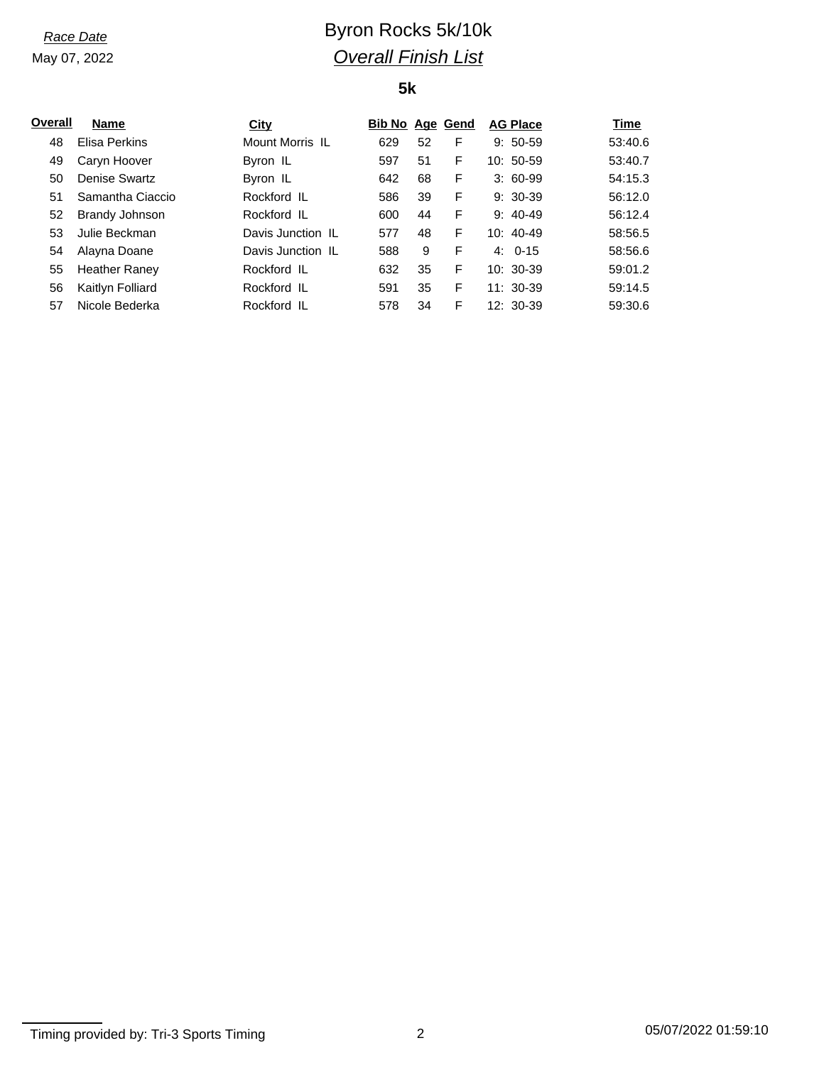May 07, 2022

# *Race Date* **Byron Rocks** 5k/10k *Overall Finish List*

## **5k**

| Overall | <b>Name</b>          | City              | <b>Bib No Age Gend</b> |    |   | <b>AG Place</b> | Time    |
|---------|----------------------|-------------------|------------------------|----|---|-----------------|---------|
| 48      | Elisa Perkins        | Mount Morris IL   | 629                    | 52 | F | $9:50-59$       | 53:40.6 |
| 49      | Caryn Hoover         | Byron IL          | 597                    | 51 | F | $10:50-59$      | 53:40.7 |
| 50      | Denise Swartz        | Byron IL          | 642                    | 68 | F | $3:60-99$       | 54:15.3 |
| 51      | Samantha Ciaccio     | Rockford IL       | 586                    | 39 | F | $9:30-39$       | 56:12.0 |
| 52      | Brandy Johnson       | Rockford IL       | 600                    | 44 | F | $9:40-49$       | 56:12.4 |
| 53      | Julie Beckman        | Davis Junction IL | 577                    | 48 | F | $10:40-49$      | 58:56.5 |
| 54      | Alayna Doane         | Davis Junction IL | 588                    | 9  | F | $4:0-15$        | 58:56.6 |
| 55      | <b>Heather Raney</b> | Rockford IL       | 632                    | 35 | F | $10:30-39$      | 59:01.2 |
| 56      | Kaitlyn Folliard     | Rockford IL       | 591                    | 35 | F | $11:30-39$      | 59:14.5 |
| 57      | Nicole Bederka       | Rockford IL       | 578                    | 34 | F | $12:30-39$      | 59:30.6 |

Timing provided by: Tri-3 Sports Timing 2 2 05/07/2022 01:59:10